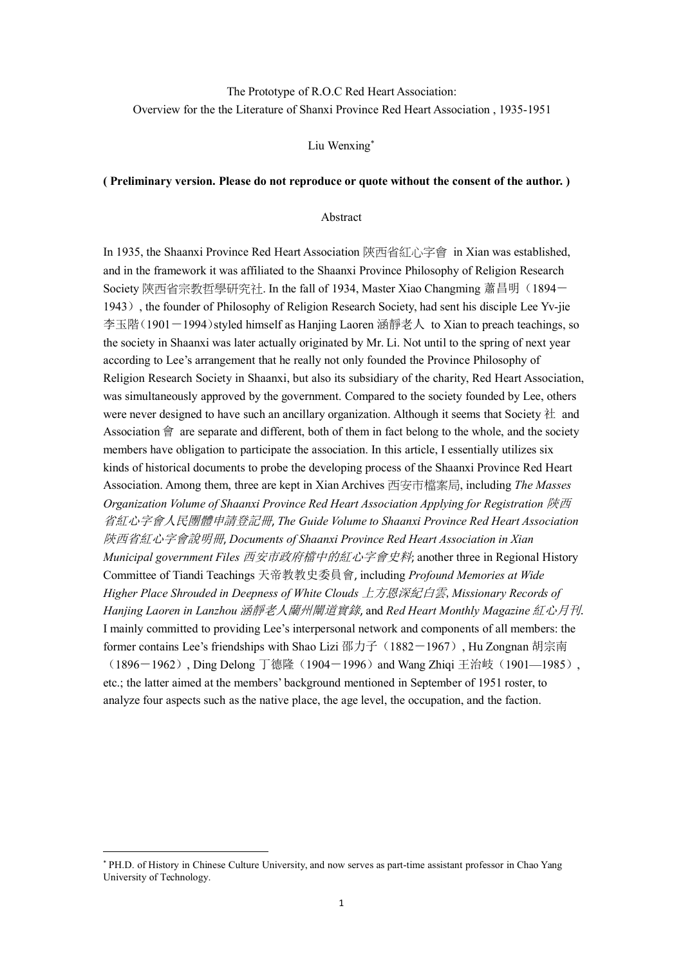# The Prototype of R.O.C Red Heart Association: Overview for the the Literature of Shanxi Province Red Heart Association , 1935-1951

#### Liu Wenxin[g](#page-0-0) \*

# **( Preliminary version. Please do not reproduce or quote without the consent of the author. )**

#### Abstract

In 1935, the Shaanxi Province Red Heart Association 陝西省紅心字會 in Xian was established, and in the framework it was affiliated to the Shaanxi Province Philosophy of Religion Research Society 陝西省宗教哲學研究社. In the fall of 1934, Master Xiao Changming 蕭昌明(1894-1943), the founder of Philosophy of Religion Research Society, had sent his disciple Lee Yv-jie 李玉階(1901-1994)styled himself as Hanjing Laoren 涵靜老人 to Xian to preach teachings, so the society in Shaanxi was later actually originated by Mr. Li. Not until to the spring of next year according to Lee's arrangement that he really not only founded the Province Philosophy of Religion Research Society in Shaanxi, but also its subsidiary of the charity, Red Heart Association, was simultaneously approved by the government. Compared to the society founded by Lee, others were never designed to have such an ancillary organization. Although it seems that Society  $\#$  and Association 會 are separate and different, both of them in fact belong to the whole, and the society members have obligation to participate the association. In this article, I essentially utilizes six kinds of historical documents to probe the developing process of the Shaanxi Province Red Heart Association. Among them, three are kept in Xian Archives 西安市檔案局, including *The Masses Organization Volume of Shaanxi Province Red Heart Association Applying for Registration* 陝西 省紅心字會人民團體申請登記冊, *The Guide Volume to Shaanxi Province Red Heart Association* 陝西省紅心字會說明冊, *Documents of Shaanxi Province Red Heart Association in Xian Municipal government Files* 西安市政府檔中的紅心字會史料; another three in Regional History Committee of Tiandi Teachings 天帝教教史委員會, including *Profound Memories at Wide Higher Place Shrouded in Deepness of White Clouds* 上方恩深紀白雲,*Missionary Records of Hanjing Laoren in Lanzhou* 涵靜老人蘭州闡道實錄, and *Red Heart Monthly Magazine* 紅心月刊. I mainly committed to providing Lee's interpersonal network and components of all members: the former contains Lee's friendships with Shao Lizi 邵力子 (1882-1967), Hu Zongnan 胡宗南 (1896-1962), Ding Delong 丁德隆(1904-1996) and Wang Zhiqi 王治岐(1901-1985), etc.; the latter aimed at the members' background mentioned in September of 1951 roster, to analyze four aspects such as the native place, the age level, the occupation, and the faction.

<span id="page-0-0"></span><sup>\*</sup> PH.D. of History in Chinese Culture University, and now serves as part-time assistant professor in Chao Yang University of Technology.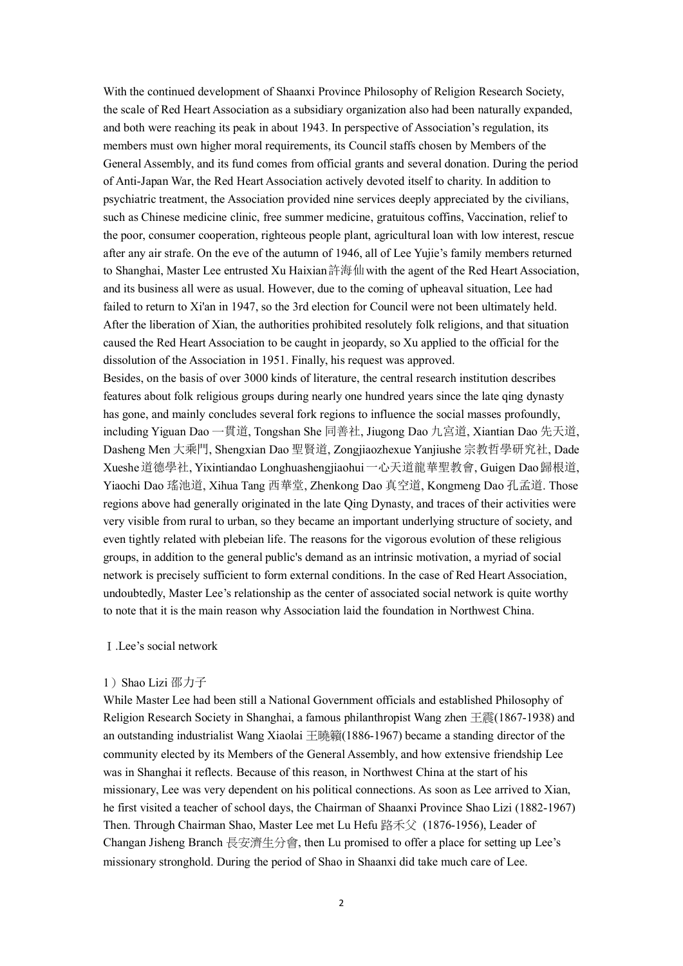With the continued development of Shaanxi Province Philosophy of Religion Research Society, the scale of Red Heart Association as a subsidiary organization also had been naturally expanded, and both were reaching its peak in about 1943. In perspective of Association's regulation, its members must own higher moral requirements, its Council staffs chosen by Members of the General Assembly, and its fund comes from official grants and several donation. During the period of Anti-Japan War, the Red Heart Association actively devoted itself to charity. In addition to psychiatric treatment, the Association provided nine services deeply appreciated by the civilians, such as Chinese medicine clinic, free summer medicine, gratuitous coffins, Vaccination, relief to the poor, consumer cooperation, righteous people plant, agricultural loan with low interest, rescue after any air strafe. On the eve of the autumn of 1946, all of Lee Yujie's family members returned to Shanghai, Master Lee entrusted Xu Haixian許海仙 with the agent of the Red Heart Association, and its business all were as usual.However, due to the coming of upheaval situation, Lee had failed to return to Xi'an in 1947, so the 3rd election for Council were not been ultimately held. After the liberation of Xian, the authorities prohibited resolutely folk religions, and that situation caused the Red Heart Association to be caught in jeopardy, so Xu applied to the official for the dissolution of the Association in 1951. Finally, his request was approved.

Besides, on the basis of over 3000 kinds of literature, the central research institution describes features about folk religious groups during nearly one hundred years since the late qing dynasty has gone, and mainly concludes several fork regions to influence the social masses profoundly, including Yiguan Dao 一貫道, Tongshan She 同善社, Jiugong Dao 九宮道, Xiantian Dao 先天道, Dasheng Men 大乘門, Shengxian Dao 聖賢道, Zongjiaozhexue Yanjiushe 宗教哲學研究社, Dade Xueshe道德學社, Yixintiandao Longhuashengjiaohui一心天道龍華聖教會, Guigen Dao歸根道, Yiaochi Dao 瑤池道, Xihua Tang 西華堂, Zhenkong Dao 真空道, Kongmeng Dao 孔孟道. Those regions above had generally originated in the late Qing Dynasty, and traces oftheir activities were very visible from rural to urban, so they became an important underlying structure of society, and even tightly related with plebeian life. The reasons for the vigorous evolution of these religious groups, in addition to the general public's demand as an intrinsic motivation, a myriad of social network is precisely sufficient to form external conditions. In the case of Red Heart Association, undoubtedly, Master Lee's relationship as the center of associated social network is quite worthy to note that it is the main reason why Association laid the foundation in Northwest China.

#### Ⅰ.Lee's social network

#### 1)Shao Lizi 邵力子

While Master Lee had been still a National Government officials and established Philosophy of Religion Research Society in Shanghai, a famous philanthropist Wang zhen  $\pm \frac{25}{18}$  (1867-1938) and an outstanding industrialist Wang Xiaolai 王曉籟(1886-1967) became a standing director of the community elected by its Members of the General Assembly, and how extensive friendship Lee was in Shanghai it reflects. Because of this reason, in Northwest China at the start of his missionary, Lee was very dependent on his political connections. As soon as Lee arrived to Xian, he first visited a teacher of school days, the Chairman of Shaanxi Province Shao Lizi (1882-1967) Then. Through Chairman Shao, Master Lee met Lu Hefu 路禾父 (1876-1956), Leader of Changan Jisheng Branch 長安濟生分會, then Lu promised to offer a place for setting up Lee's missionary stronghold. During the period of Shao in Shaanxi did take much care of Lee.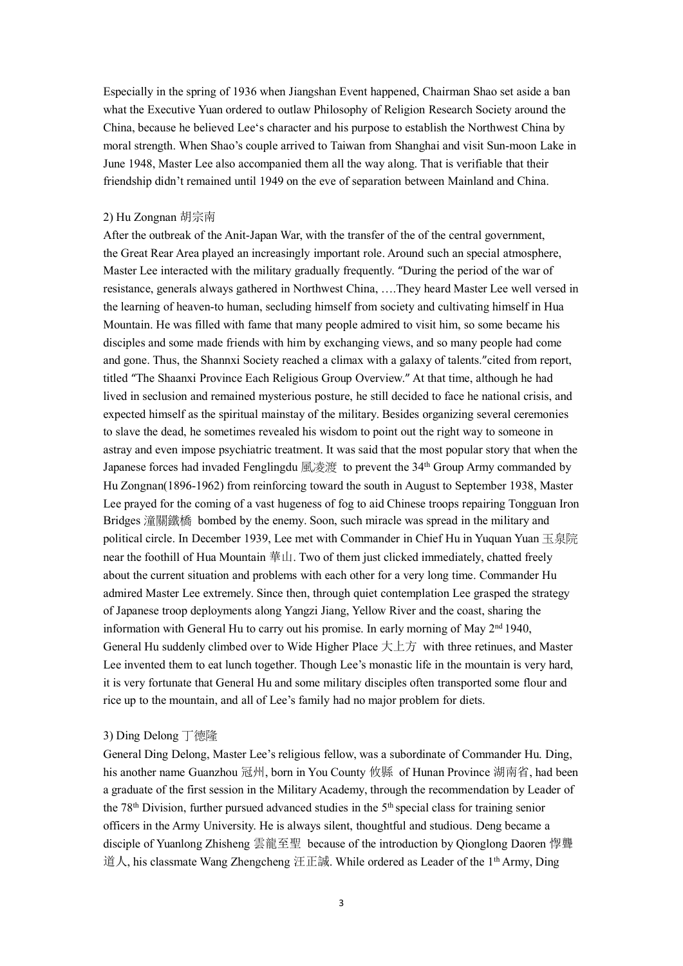Especially in the spring of 1936 when Jiangshan Event happened, Chairman Shao set aside a ban what the Executive Yuan ordered to outlaw Philosophy of Religion Research Society around the China, because he believed Lee's character and his purpose to establish the Northwest China by moral strength. When Shao's couple arrived to Taiwan from Shanghai and visit Sun-moon Lake in June 1948, Master Lee also accompanied them all the way along. That is verifiable that their friendship didn't remained until 1949 on the eve of separation between Mainland and China.

#### 2) Hu Zongnan 胡宗南

After the outbreak of the Anit-Japan War, with the transfer of the of the central government, the Great Rear Area played an increasingly important role. Around such an special atmosphere, Master Lee interacted with the military gradually frequently. "During the period of the war of resistance, generals always gathered in Northwest China, ….They heard Master Lee well versed in the learning of heaven-to human, secluding himself from society and cultivating himself in Hua Mountain. He was filled with fame that many people admired to visit him, so some became his disciples and some made friends with him by exchanging views, and so many people had come and gone. Thus, the Shannxi Society reached a climax with a galaxy of talents."cited from report, titled "The Shaanxi Province Each Religious Group Overview." At that time, although he had lived in seclusion and remained mysterious posture, he still decided to face he national crisis, and expected himself as the spiritual mainstay of the military.Besides organizing several ceremonies to slave the dead, he sometimes revealed his wisdom to point out the right way to someone in astray and even impose psychiatric treatment. It was said that the most popular story that when the Japanese forces had invaded Fenglingdu 風凌渡 to prevent the 34<sup>th</sup> Group Army commanded by Hu Zongnan(1896-1962) from reinforcing toward the south in August to September 1938, Master Lee prayed for the coming of a vast hugeness of fog to aid Chinese troops repairing Tongguan Iron Bridges 潼關鐵橋 bombed by the enemy. Soon, such miracle was spread in the military and political circle. In December 1939, Lee met with Commander in Chief Hu in Yuquan Yuan 玉泉院 near the foothill of Hua Mountain 華山. Two of them just clicked immediately, chatted freely about the current situation and problems with each other for a very long time. Commander Hu admired Master Lee extremely. Since then, through quiet contemplation Lee grasped the strategy of Japanese troop deployments along Yangzi Jiang, Yellow River andthe coast, sharing the information with General Hu to carry out his promise. In early morning of May 2<sup>nd</sup> 1940, General Hu suddenly climbed over to Wide Higher Place  $\pm \pm \bar{\pi}$  with three retinues, and Master Lee invented them to eat lunch together. Though Lee's monastic life in the mountain is very hard, it is very fortunate that General Hu and some military disciples often transported some flour and rice up to the mountain, and all of Lee's family had no major problem for diets.

# 3) Ding Delong 丁德隆

General Ding Delong, Master Lee's religious fellow, was a subordinate of Commander Hu. Ding, his another name Guanzhou 冠州, born in You County 攸縣 of Hunan Province 湖南省, had been a graduate of the first session in the Military Academy, through the recommendation by Leader of the 78<sup>th</sup> Division, further pursued advanced studies in the 5<sup>th</sup> special class for training senior officers in the Army University. He is always silent, thoughtful and studious. Deng became a disciple of Yuanlong Zhisheng 雲龍至聖 because of the introduction by Qionglong Daoren 惸聾 道人, his classmate Wang Zhengcheng 汪正誠. While ordered as Leader of the 1th Army, Ding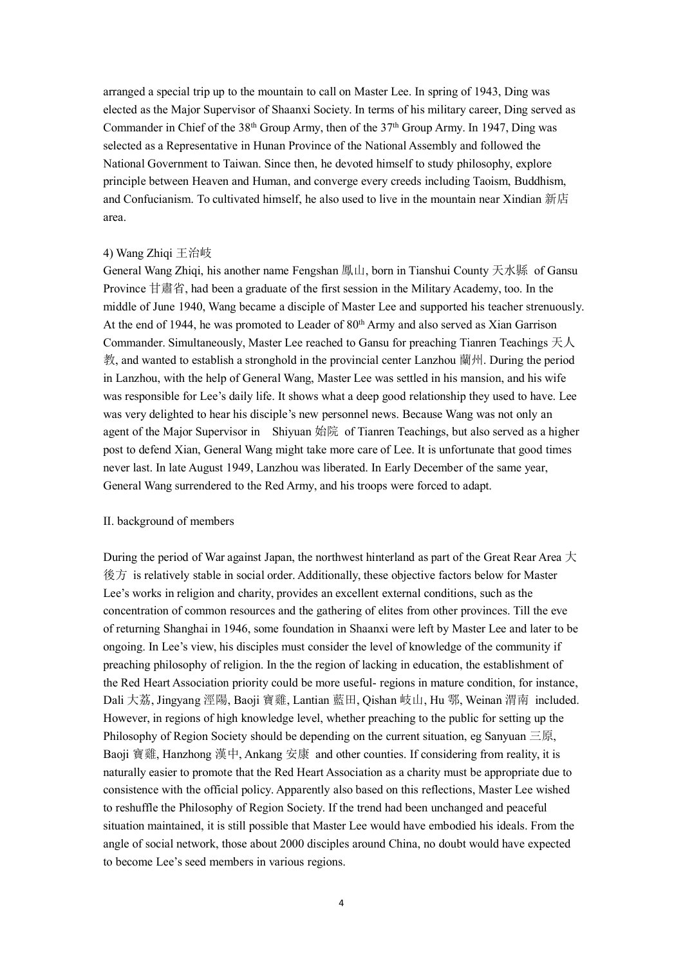arranged a special trip up to the mountain to call on Master Lee. In spring of 1943, Ding was elected as the Major Supervisor of Shaanxi Society. In terms of his military career, Ding served as Commander in Chief of the 38<sup>th</sup> Group Army, then of the 37<sup>th</sup> Group Army. In 1947, Ding was selected as a Representative in Hunan Province of the National Assembly and followed the National Government to Taiwan. Since then, he devoted himself to study philosophy, explore principle between Heaven and Human, and converge every creeds including Taoism, Buddhism, and Confucianism. To cultivated himself, he also used to live in the mountain near Xindian 新店 area.

#### 4) Wang Zhiqi 王治岐

General Wang Zhiqi, his another name Fengshan 鳳山, born in Tianshui County 天水縣 of Gansu Province 甘肅省, had been a graduate of the first session in the Military Academy, too. In the middle of June 1940, Wang became a disciple of Master Lee and supported his teacher strenuously. At the end of 1944, he was promoted to Leader of 80<sup>th</sup> Army and also served as Xian Garrison Commander. Simultaneously, Master Lee reached to Gansu for preaching Tianren Teachings 天人 教, and wanted to establish a stronghold in the provincial center Lanzhou 蘭州. During the period in Lanzhou, with the help of General Wang, Master Lee was settled in his mansion, and his wife was responsible for Lee's daily life. It shows whata deep good relationship they used to have. Lee was very delighted to hear his disciple's new personnel news. Because Wang was not only an agent of the Major Supervisor in Shiyuan 始院 of Tianren Teachings, but also served as a higher post to defend Xian, General Wang might take more care of Lee. It is unfortunate that good times never last. In late August 1949, Lanzhou was liberated. In Early December of the same year, General Wang surrendered to the Red Army, and his troops were forced to adapt.

# II. background of members

During the period of War against Japan, the northwest hinterland as part of the Great Rear Area  $\pm$ 後方 is relatively stable in social order. Additionally, these objective factors below for Master Lee's works in religion and charity, provides an excellent external conditions, such as the concentration of common resources and the gathering of elites from other provinces. Till the eve of returning Shanghai in 1946, some foundation in Shaanxi were left by Master Lee and later to be ongoing. In Lee's view, his disciples mustconsider the level of knowledge of the community if preaching philosophy of religion. In the the region of lacking in education, the establishment of the Red Heart Association priority could be more useful- regions in mature condition, for instance, Dali 大荔, Jingyang 涇陽, Baoji 寶雞, Lantian 藍田, Qishan 岐山, Hu 鄠, Weinan 渭南 included. However, in regions of high knowledge level, whether preaching to the public for setting up the Philosophy of Region Society should be depending on the current situation, eg Sanyuan 三原, Baoji 寶雞, Hanzhong 漢中, Ankang 安康 and other counties. If considering from reality, it is naturally easier to promote that the Red Heart Association as a charity must be appropriate due to consistence with the official policy. Apparently also based on this reflections, Master Lee wished to reshuffle the Philosophy of Region Society. If the trend had been unchanged and peaceful situation maintained, it is still possible that Master Lee would have embodied his ideals. From the angle of social network, those about 2000 disciples around China, no doubt would have expected to become Lee's seed members in various regions.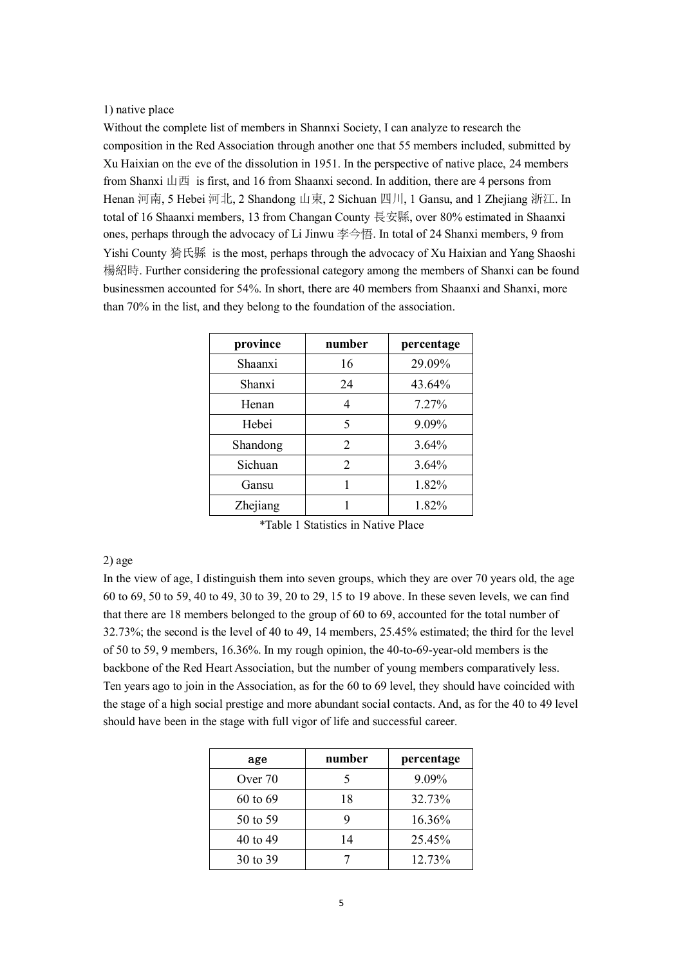# 1) native place

Without the complete list of members in Shannxi Society, I can analyze to research the composition in the Red Association through another one that 55 members included, submitted by Xu Haixian on the eve of the dissolution in 1951. In the perspective of native place, 24 members from Shanxi 山西 is first, and 16 from Shaanxi second. In addition, there are 4 persons from Henan 河南, 5 Hebei 河北, 2 Shandong 山東, 2 Sichuan 四川, 1 Gansu, and 1 Zhejiang 浙江. In total of 16 Shaanxi members, 13 from Changan County 長安縣, over 80% estimated in Shaanxi ones, perhaps through the advocacy of Li Jinwu 李今悟. In total of 24 Shanxi members, 9 from Yishi County 猗氏縣 is the most, perhaps through the advocacy of Xu Haixian and Yang Shaoshi 楊紹時. Further considering the professional category among the members ofShanxi can be found businessmen accounted for 54%. In short, there are 40 members from Shaanxi and Shanxi, more than 70% in the list, and they belong to the foundation of the association.

| province | number | percentage |
|----------|--------|------------|
| Shaanxi  | 16     | 29.09%     |
| Shanxi   | 24     | 43.64%     |
| Henan    | 4      | $7.27\%$   |
| Hebei    | 5      | 9.09%      |
| Shandong | 2      | $3.64\%$   |
| Sichuan  | 2      | $3.64\%$   |
| Gansu    |        | 1.82%      |
| Zhejiang |        | 1.82%      |

\*Table 1 Statistics in Native Place

# 2) age

In the view of age, I distinguish them into seven groups, which they are over70 years old, the age 60 to 69, 50 to 59, 40 to 49, 30 to 39, 20 to 29, 15 to 19 above. In these seven levels, we can find that there are 18 members belonged to the group of 60 to 69, accounted for the total number of 32.73%; the second is the level of 40 to 49, 14 members, 25.45% estimated; the third for the level of 50 to 59, 9 members, 16.36%. In my rough opinion, the 40-to-69-year-old members is the backbone of the Red Heart Association, but the number of young members comparatively less. Ten years ago to join in the Association, as for the 60 to 69 level, they should have coincided with the stage of a high social prestige and more abundant social contacts. And, as for the 40 to 49 level should have been in the stage with full vigor of life and successful career.

| age          | number | percentage |
|--------------|--------|------------|
| Over 70      |        | 9.09%      |
| $60$ to $69$ | 18     | 32.73%     |
| 50 to 59     | 9      | 16.36%     |
| 40 to 49     | 14     | 25.45%     |
| 30 to 39     |        | 12.73%     |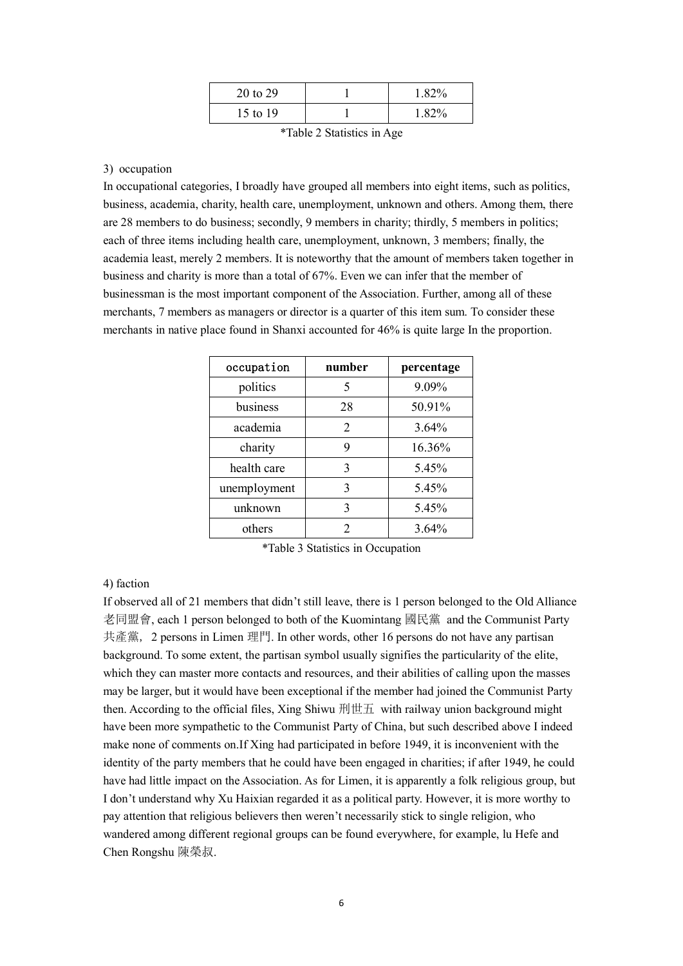| 20 to 29 | 1.82% |
|----------|-------|
| 15 to 19 | 1.82% |

| *Table 2 Statistics in Age |  |
|----------------------------|--|
|----------------------------|--|

# 3) occupation

In occupational categories, I broadly have grouped all members into eight items, such as politics, business, academia, charity, health care, unemployment, unknown and others. Among them, there are 28 members to do business; secondly, 9 members in charity; thirdly, 5 members in politics; each of three items including health care, unemployment, unknown, 3 members; finally, the academia least, merely 2 members. It is noteworthy that the amount of members taken together in business and charity is more than a total of 67%. Even we can infer that the member of businessman is the most important component of the Association. Further, among all of these merchants, 7 members as managers or director is a quarter of this item sum. To consider these merchants in native place found in Shanxi accounted for 46% is quite large In the proportion.

| occupation   | number | percentage |
|--------------|--------|------------|
| politics     | 5      | 9.09%      |
| business     | 28     | 50.91%     |
| academia     | 2      | 3.64%      |
| charity      | 9      | 16.36%     |
| health care  | 3      | 5.45%      |
| unemployment | 3      | 5.45%      |
| unknown      | 3      | 5.45%      |
| others       | ∍      | 3.64%      |

\*Table 3 Statistics in Occupation

## 4) faction

If observed all of 21 members that didn't still leave, there is 1 person belonged to the Old Alliance 老同盟會, each 1 person belonged to both of the Kuomintang 國民黨 and the Communist Party 共產黨, 2 persons in Limen 理門. In other words, other 16 persons do not have any partisan background. To some extent, the partisan symbol usually signifies the particularity of the elite, which they can master more contacts and resources, and their abilities of calling upon the masses may be larger, but it would have been exceptional if the member had joined the Communist Party then. According to the official files, Xing Shiwu 刑世五 with railway union background might have been more sympathetic to the Communist Party of China, but such described above I indeed make none of comments on.If Xing had participated in before 1949, it is inconvenient with the identity of the party members that he could have been engaged in charities; if after 1949, he could have had little impact on the Association. As for Limen, it is apparently a folk religious group, but I don't understand why Xu Haixian regarded it as a political party. However, it is more worthy to pay attention that religious believers then weren't necessarily stick to single religion, who wandered among different regional groups can be found everywhere, for example, lu Hefe and Chen Rongshu 陳榮叔.